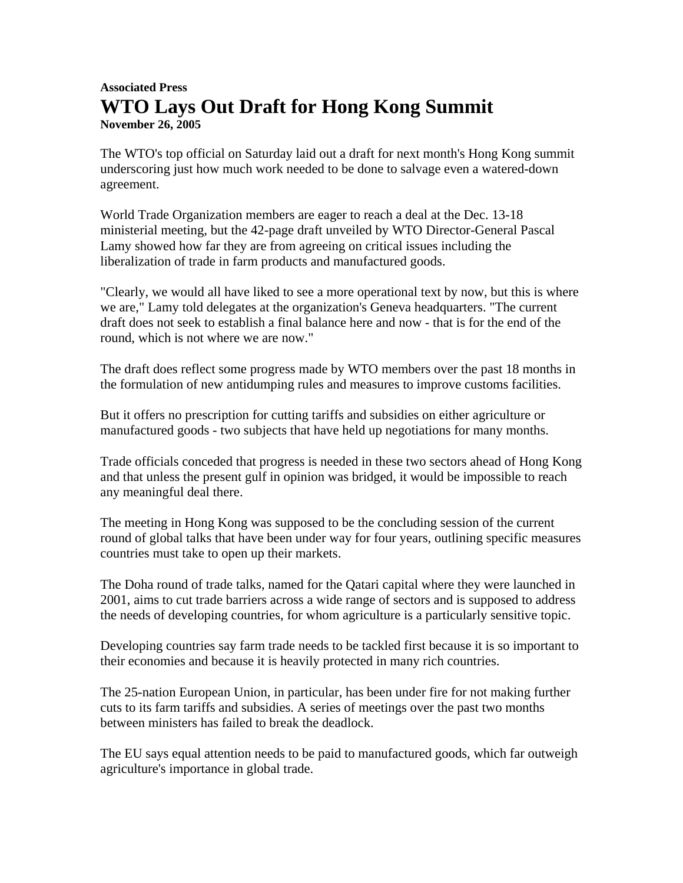## **Associated Press WTO Lays Out Draft for Hong Kong Summit November 26, 2005**

The WTO's top official on Saturday laid out a draft for next month's Hong Kong summit underscoring just how much work needed to be done to salvage even a watered-down agreement.

World Trade Organization members are eager to reach a deal at the Dec. 13-18 ministerial meeting, but the 42-page draft unveiled by WTO Director-General Pascal Lamy showed how far they are from agreeing on critical issues including the liberalization of trade in farm products and manufactured goods.

"Clearly, we would all have liked to see a more operational text by now, but this is where we are," Lamy told delegates at the organization's Geneva headquarters. "The current draft does not seek to establish a final balance here and now - that is for the end of the round, which is not where we are now."

The draft does reflect some progress made by WTO members over the past 18 months in the formulation of new antidumping rules and measures to improve customs facilities.

But it offers no prescription for cutting tariffs and subsidies on either agriculture or manufactured goods - two subjects that have held up negotiations for many months.

Trade officials conceded that progress is needed in these two sectors ahead of Hong Kong and that unless the present gulf in opinion was bridged, it would be impossible to reach any meaningful deal there.

The meeting in Hong Kong was supposed to be the concluding session of the current round of global talks that have been under way for four years, outlining specific measures countries must take to open up their markets.

The Doha round of trade talks, named for the Qatari capital where they were launched in 2001, aims to cut trade barriers across a wide range of sectors and is supposed to address the needs of developing countries, for whom agriculture is a particularly sensitive topic.

Developing countries say farm trade needs to be tackled first because it is so important to their economies and because it is heavily protected in many rich countries.

The 25-nation European Union, in particular, has been under fire for not making further cuts to its farm tariffs and subsidies. A series of meetings over the past two months between ministers has failed to break the deadlock.

The EU says equal attention needs to be paid to manufactured goods, which far outweigh agriculture's importance in global trade.